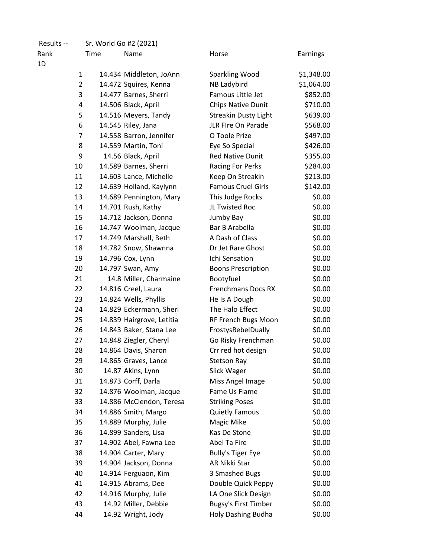| Results -- | Sr. World Go #2 (2021) |                           |                             |            |
|------------|------------------------|---------------------------|-----------------------------|------------|
| Rank<br>1D | Time                   | Name                      | Horse                       | Earnings   |
|            | 1                      | 14.434 Middleton, JoAnn   | Sparkling Wood              | \$1,348.00 |
|            | $\overline{2}$         | 14.472 Squires, Kenna     | NB Ladybird                 | \$1,064.00 |
|            | 3                      | 14.477 Barnes, Sherri     | Famous Little Jet           | \$852.00   |
|            | 4                      | 14.506 Black, April       | Chips Native Dunit          | \$710.00   |
|            | 5                      | 14.516 Meyers, Tandy      | <b>Streakin Dusty Light</b> | \$639.00   |
|            | 6                      | 14.545 Riley, Jana        | JLR FIre On Parade          | \$568.00   |
|            | 7                      | 14.558 Barron, Jennifer   | O Toole Prize               | \$497.00   |
|            | 8                      | 14.559 Martin, Toni       | Eye So Special              | \$426.00   |
|            | 9                      | 14.56 Black, April        | <b>Red Native Dunit</b>     | \$355.00   |
| 10         |                        | 14.589 Barnes, Sherri     | Racing For Perks            | \$284.00   |
| 11         |                        | 14.603 Lance, Michelle    | Keep On Streakin            | \$213.00   |
| 12         |                        | 14.639 Holland, Kaylynn   | <b>Famous Cruel Girls</b>   | \$142.00   |
| 13         |                        | 14.689 Pennington, Mary   | This Judge Rocks            | \$0.00     |
| 14         |                        | 14.701 Rush, Kathy        | JL Twisted Roc              | \$0.00     |
| 15         |                        | 14.712 Jackson, Donna     | Jumby Bay                   | \$0.00     |
| 16         |                        | 14.747 Woolman, Jacque    | Bar B Arabella              | \$0.00     |
| 17         |                        | 14.749 Marshall, Beth     | A Dash of Class             | \$0.00     |
| 18         |                        | 14.782 Snow, Shawnna      | Dr Jet Rare Ghost           | \$0.00     |
| 19         |                        | 14.796 Cox, Lynn          | Ichi Sensation              | \$0.00     |
| 20         |                        | 14.797 Swan, Amy          | <b>Boons Prescription</b>   | \$0.00     |
| 21         |                        | 14.8 Miller, Charmaine    | Bootyfuel                   | \$0.00     |
| 22         |                        | 14.816 Creel, Laura       | <b>Frenchmans Docs RX</b>   | \$0.00     |
| 23         |                        | 14.824 Wells, Phyllis     | He Is A Dough               | \$0.00     |
| 24         |                        | 14.829 Eckermann, Sheri   | The Halo Effect             | \$0.00     |
| 25         |                        | 14.839 Hairgrove, Letitia | RF French Bugs Moon         | \$0.00     |
| 26         |                        | 14.843 Baker, Stana Lee   | FrostysRebelDually          | \$0.00     |
| 27         |                        | 14.848 Ziegler, Cheryl    | Go Risky Frenchman          | \$0.00     |
| 28         |                        | 14.864 Davis, Sharon      | Crr red hot design          | \$0.00     |
| 29         |                        | 14.865 Graves, Lance      | <b>Stetson Ray</b>          | \$0.00     |
| 30         |                        | 14.87 Akins, Lynn         | Slick Wager                 | \$0.00     |
| 31         |                        | 14.873 Corff, Darla       | Miss Angel Image            | \$0.00     |
| 32         |                        | 14.876 Woolman, Jacque    | Fame Us Flame               | \$0.00     |
| 33         |                        | 14.886 McClendon, Teresa  | <b>Striking Poses</b>       | \$0.00     |
| 34         |                        | 14.886 Smith, Margo       | <b>Quietly Famous</b>       | \$0.00     |
| 35         |                        | 14.889 Murphy, Julie      | Magic Mike                  | \$0.00     |
| 36         |                        | 14.899 Sanders, Lisa      | Kas De Stone                | \$0.00     |
| 37         |                        | 14.902 Abel, Fawna Lee    | Abel Ta Fire                | \$0.00     |
| 38         |                        | 14.904 Carter, Mary       | <b>Bully's Tiger Eye</b>    | \$0.00     |
| 39         |                        | 14.904 Jackson, Donna     | AR Nikki Star               | \$0.00     |
| 40         |                        | 14.914 Ferguaon, Kim      | 3 Smashed Bugs              | \$0.00     |
| 41         |                        | 14.915 Abrams, Dee        | Double Quick Peppy          | \$0.00     |
| 42         |                        | 14.916 Murphy, Julie      | LA One Slick Design         | \$0.00     |
| 43         |                        | 14.92 Miller, Debbie      | <b>Bugsy's First Timber</b> | \$0.00     |
| 44         |                        | 14.92 Wright, Jody        | Holy Dashing Budha          | \$0.00     |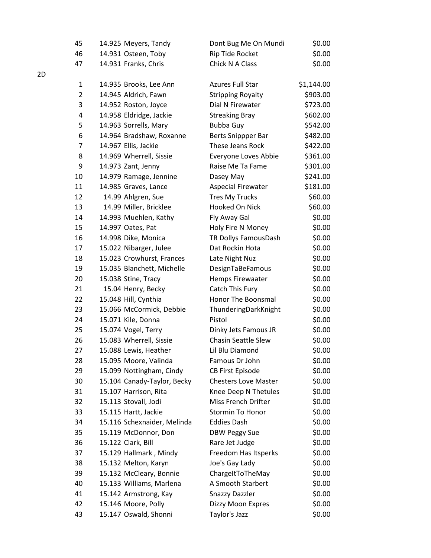| 45 | 14.925 Meyers, Tandy        | Dont Bug Me On Mundi        | \$0.00     |
|----|-----------------------------|-----------------------------|------------|
| 46 | 14.931 Osteen, Toby         | Rip Tide Rocket             | \$0.00     |
| 47 | 14.931 Franks, Chris        | Chick N A Class             | \$0.00     |
| 1  | 14.935 Brooks, Lee Ann      | <b>Azures Full Star</b>     | \$1,144.00 |
| 2  | 14.945 Aldrich, Fawn        | <b>Stripping Royalty</b>    | \$903.00   |
| 3  | 14.952 Roston, Joyce        | Dial N Firewater            | \$723.00   |
| 4  | 14.958 Eldridge, Jackie     | <b>Streaking Bray</b>       | \$602.00   |
| 5  | 14.963 Sorrells, Mary       | <b>Bubba Guy</b>            | \$542.00   |
| 6  | 14.964 Bradshaw, Roxanne    | Berts Snippper Bar          | \$482.00   |
| 7  | 14.967 Ellis, Jackie        | These Jeans Rock            | \$422.00   |
| 8  | 14.969 Wherrell, Sissie     | Everyone Loves Abbie        | \$361.00   |
| 9  | 14.973 Zant, Jenny          | Raise Me Ta Fame            | \$301.00   |
| 10 | 14.979 Ramage, Jennine      | Dasey May                   | \$241.00   |
| 11 | 14.985 Graves, Lance        | <b>Aspecial Firewater</b>   | \$181.00   |
| 12 | 14.99 Ahlgren, Sue          | <b>Tres My Trucks</b>       | \$60.00    |
| 13 | 14.99 Miller, Bricklee      | Hooked On Nick              | \$60.00    |
| 14 | 14.993 Muehlen, Kathy       | Fly Away Gal                | \$0.00     |
| 15 | 14.997 Oates, Pat           | Holy Fire N Money           | \$0.00     |
| 16 | 14.998 Dike, Monica         | TR Dollys FamousDash        | \$0.00     |
| 17 | 15.022 Nibarger, Julee      | Dat Rockin Hota             | \$0.00     |
| 18 | 15.023 Crowhurst, Frances   | Late Night Nuz              | \$0.00     |
| 19 | 15.035 Blanchett, Michelle  | DesignTaBeFamous            | \$0.00     |
| 20 | 15.038 Stine, Tracy         | Hemps Firewaater            | \$0.00     |
| 21 | 15.04 Henry, Becky          | Catch This Fury             | \$0.00     |
| 22 | 15.048 Hill, Cynthia        | Honor The Boonsmal          | \$0.00     |
| 23 | 15.066 McCormick, Debbie    | ThunderingDarkKnight        | \$0.00     |
| 24 | 15.071 Kile, Donna          | Pistol                      | \$0.00     |
| 25 | 15.074 Vogel, Terry         | Dinky Jets Famous JR        | \$0.00     |
| 26 | 15.083 Wherrell, Sissie     | Chasin Seattle Slew         | \$0.00     |
| 27 | 15.088 Lewis, Heather       | Lil Blu Diamond             | \$0.00     |
| 28 | 15.095 Moore, Valinda       | Famous Dr John              | \$0.00     |
| 29 | 15.099 Nottingham, Cindy    | <b>CB First Episode</b>     | \$0.00     |
| 30 | 15.104 Canady-Taylor, Becky | <b>Chesters Love Master</b> | \$0.00     |
| 31 | 15.107 Harrison, Rita       | Knee Deep N Thetules        | \$0.00     |
| 32 | 15.113 Stovall, Jodi        | Miss French Drifter         | \$0.00     |
| 33 | 15.115 Hartt, Jackie        | <b>Stormin To Honor</b>     | \$0.00     |
| 34 | 15.116 Schexnaider, Melinda | <b>Eddies Dash</b>          | \$0.00     |
| 35 | 15.119 McDonnor, Don        | <b>DBW Peggy Sue</b>        | \$0.00     |
| 36 | 15.122 Clark, Bill          | Rare Jet Judge              | \$0.00     |
| 37 | 15.129 Hallmark, Mindy      | Freedom Has Itsperks        | \$0.00     |
| 38 | 15.132 Melton, Karyn        | Joe's Gay Lady              | \$0.00     |
| 39 | 15.132 McCleary, Bonnie     | ChargeItToTheMay            | \$0.00     |
| 40 | 15.133 Williams, Marlena    | A Smooth Starbert           | \$0.00     |
| 41 | 15.142 Armstrong, Kay       | <b>Snazzy Dazzler</b>       | \$0.00     |
| 42 | 15.146 Moore, Polly         | Dizzy Moon Expres           | \$0.00     |
| 43 | 15.147 Oswald, Shonni       | Taylor's Jazz               | \$0.00     |

2D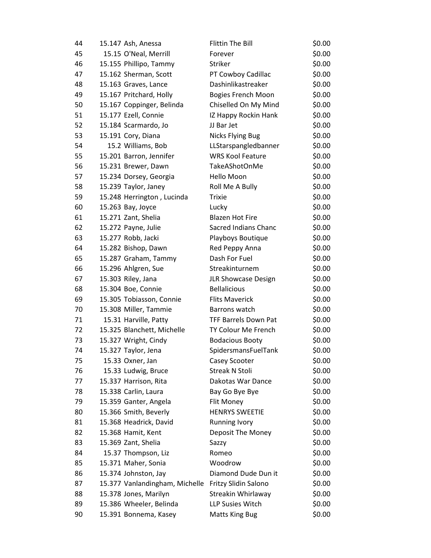| 44 | 15.147 Ash, Anessa             | <b>Flittin The Bill</b>     | \$0.00 |
|----|--------------------------------|-----------------------------|--------|
| 45 | 15.15 O'Neal, Merrill          | Forever                     | \$0.00 |
| 46 | 15.155 Phillipo, Tammy         | Striker                     | \$0.00 |
| 47 | 15.162 Sherman, Scott          | PT Cowboy Cadillac          | \$0.00 |
| 48 | 15.163 Graves, Lance           | Dashinlikastreaker          | \$0.00 |
| 49 | 15.167 Pritchard, Holly        | <b>Bogies French Moon</b>   | \$0.00 |
| 50 | 15.167 Coppinger, Belinda      | Chiselled On My Mind        | \$0.00 |
| 51 | 15.177 Ezell, Connie           | IZ Happy Rockin Hank        | \$0.00 |
| 52 | 15.184 Scarmardo, Jo           | JJ Bar Jet                  | \$0.00 |
| 53 | 15.191 Cory, Diana             | <b>Nicks Flying Bug</b>     | \$0.00 |
| 54 | 15.2 Williams, Bob             | LLStarspangledbanner        | \$0.00 |
| 55 | 15.201 Barron, Jennifer        | <b>WRS Kool Feature</b>     | \$0.00 |
| 56 | 15.231 Brewer, Dawn            | TakeAShotOnMe               | \$0.00 |
| 57 | 15.234 Dorsey, Georgia         | Hello Moon                  | \$0.00 |
| 58 | 15.239 Taylor, Janey           | Roll Me A Bully             | \$0.00 |
| 59 | 15.248 Herrington, Lucinda     | <b>Trixie</b>               | \$0.00 |
| 60 | 15.263 Bay, Joyce              | Lucky                       | \$0.00 |
| 61 | 15.271 Zant, Shelia            | <b>Blazen Hot Fire</b>      | \$0.00 |
| 62 | 15.272 Payne, Julie            | Sacred Indians Chanc        | \$0.00 |
| 63 | 15.277 Robb, Jacki             | Playboys Boutique           | \$0.00 |
| 64 | 15.282 Bishop, Dawn            | Red Peppy Anna              | \$0.00 |
| 65 | 15.287 Graham, Tammy           | Dash For Fuel               | \$0.00 |
| 66 | 15.296 Ahlgren, Sue            | Streakinturnem              | \$0.00 |
| 67 | 15.303 Riley, Jana             | <b>JLR Showcase Design</b>  | \$0.00 |
| 68 | 15.304 Boe, Connie             | <b>Bellalicious</b>         | \$0.00 |
| 69 | 15.305 Tobiasson, Connie       | <b>Flits Maverick</b>       | \$0.00 |
| 70 | 15.308 Miller, Tammie          | Barrons watch               | \$0.00 |
| 71 | 15.31 Harville, Patty          | <b>TFF Barrels Down Pat</b> | \$0.00 |
| 72 | 15.325 Blanchett, Michelle     | TY Colour Me French         | \$0.00 |
| 73 | 15.327 Wright, Cindy           | <b>Bodacious Booty</b>      | \$0.00 |
| 74 | 15.327 Taylor, Jena            | SpidersmansFuelTank         | \$0.00 |
| 75 | 15.33 Oxner, Jan               | Casey Scooter               | \$0.00 |
| 76 | 15.33 Ludwig, Bruce            | <b>Streak N Stoli</b>       | \$0.00 |
| 77 | 15.337 Harrison, Rita          | Dakotas War Dance           | \$0.00 |
| 78 | 15.338 Carlin, Laura           | Bay Go Bye Bye              | \$0.00 |
| 79 | 15.359 Ganter, Angela          | Flit Money                  | \$0.00 |
| 80 | 15.366 Smith, Beverly          | <b>HENRYS SWEETIE</b>       | \$0.00 |
| 81 | 15.368 Headrick, David         | <b>Running Ivory</b>        | \$0.00 |
| 82 | 15.368 Hamit, Kent             | Deposit The Money           | \$0.00 |
| 83 | 15.369 Zant, Shelia            | Sazzy                       | \$0.00 |
| 84 | 15.37 Thompson, Liz            | Romeo                       | \$0.00 |
| 85 | 15.371 Maher, Sonia            | Woodrow                     | \$0.00 |
| 86 | 15.374 Johnston, Jay           | Diamond Dude Dun it         | \$0.00 |
| 87 | 15.377 Vanlandingham, Michelle | Fritzy Slidin Salono        | \$0.00 |
| 88 | 15.378 Jones, Marilyn          | Streakin Whirlaway          | \$0.00 |
| 89 | 15.386 Wheeler, Belinda        | LLP Susies Witch            | \$0.00 |
| 90 | 15.391 Bonnema, Kasey          | <b>Matts King Bug</b>       | \$0.00 |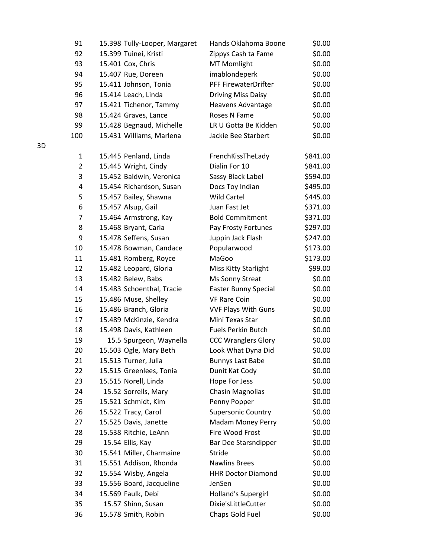| 91       | 15.398 Tully-Looper, Margaret             | Hands Oklahoma Boone                 | \$0.00           |
|----------|-------------------------------------------|--------------------------------------|------------------|
| 92       | 15.399 Tuinei, Kristi                     | Zippys Cash ta Fame                  | \$0.00           |
| 93       | 15.401 Cox, Chris                         | <b>MT Momlight</b>                   | \$0.00           |
| 94       | 15.407 Rue, Doreen                        | imablondeperk                        | \$0.00           |
| 95       | 15.411 Johnson, Tonia                     | PFF FirewaterDrifter                 | \$0.00           |
| 96       | 15.414 Leach, Linda                       | <b>Driving Miss Daisy</b>            | \$0.00           |
| 97       | 15.421 Tichenor, Tammy                    | Heavens Advantage                    | \$0.00           |
| 98       | 15.424 Graves, Lance                      | Roses N Fame                         | \$0.00           |
| 99       | 15.428 Begnaud, Michelle                  | LR U Gotta Be Kidden                 | \$0.00           |
| 100      | 15.431 Williams, Marlena                  | Jackie Bee Starbert                  | \$0.00           |
| 1        | 15.445 Penland, Linda                     | FrenchKissTheLady                    | \$841.00         |
| 2        | 15.445 Wright, Cindy                      | Dialin For 10                        | \$841.00         |
| 3        | 15.452 Baldwin, Veronica                  | Sassy Black Label                    | \$594.00         |
| 4        | 15.454 Richardson, Susan                  | Docs Toy Indian                      | \$495.00         |
| 5        | 15.457 Bailey, Shawna                     | <b>Wild Cartel</b>                   | \$445.00         |
| 6        | 15.457 Alsup, Gail                        | Juan Fast Jet                        | \$371.00         |
| 7        | 15.464 Armstrong, Kay                     | <b>Bold Commitment</b>               | \$371.00         |
| 8        | 15.468 Bryant, Carla                      | Pay Frosty Fortunes                  | \$297.00         |
| 9        | 15.478 Seffens, Susan                     | Juppin Jack Flash                    | \$247.00         |
| 10       | 15.478 Bowman, Candace                    | Popularwood                          | \$173.00         |
| 11       | 15.481 Romberg, Royce                     | MaGoo                                | \$173.00         |
| 12       | 15.482 Leopard, Gloria                    | Miss Kitty Starlight                 | \$99.00          |
| 13       | 15.482 Belew, Babs                        | Ms Sonny Streat                      | \$0.00           |
| 14       | 15.483 Schoenthal, Tracie                 | <b>Easter Bunny Special</b>          | \$0.00           |
| 15       | 15.486 Muse, Shelley                      | <b>VF Rare Coin</b>                  | \$0.00           |
| 16       | 15.486 Branch, Gloria                     | <b>VVF Plays With Guns</b>           | \$0.00           |
| 17       | 15.489 McKinzie, Kendra                   | Mini Texas Star                      | \$0.00           |
| 18       | 15.498 Davis, Kathleen                    | <b>Fuels Perkin Butch</b>            | \$0.00           |
| 19       | 15.5 Spurgeon, Waynella                   | <b>CCC Wranglers Glory</b>           | \$0.00           |
| 20       | 15.503 Ogle, Mary Beth                    | Look What Dyna Did                   | \$0.00           |
| 21       | 15.513 Turner, Julia                      | <b>Bunnys Last Babe</b>              | \$0.00           |
| 22       | 15.515 Greenlees, Tonia                   | Dunit Kat Cody                       | \$0.00           |
| 23       | 15.515 Norell, Linda                      | Hope For Jess                        | \$0.00           |
| 24       | 15.52 Sorrells, Mary                      | <b>Chasin Magnolias</b>              | \$0.00           |
| 25       | 15.521 Schmidt, Kim                       | Penny Popper                         | \$0.00           |
| 26       | 15.522 Tracy, Carol                       | <b>Supersonic Country</b>            | \$0.00           |
| 27<br>28 | 15.525 Davis, Janette                     | Madam Money Perry<br>Fire Wood Frost | \$0.00<br>\$0.00 |
| 29       | 15.538 Ritchie, LeAnn<br>15.54 Ellis, Kay | Bar Dee Starsndipper                 | \$0.00           |
| 30       | 15.541 Miller, Charmaine                  | Stride                               | \$0.00           |
| 31       | 15.551 Addison, Rhonda                    | <b>Nawlins Brees</b>                 | \$0.00           |
| 32       | 15.554 Wisby, Angela                      | <b>HHR Doctor Diamond</b>            | \$0.00           |
| 33       | 15.556 Board, Jacqueline                  | JenSen                               | \$0.00           |
| 34       | 15.569 Faulk, Debi                        | Holland's Supergirl                  | \$0.00           |
| 35       | 15.57 Shinn, Susan                        | Dixie'sLittleCutter                  | \$0.00           |
| 36       | 15.578 Smith, Robin                       | Chaps Gold Fuel                      | \$0.00           |
|          |                                           |                                      |                  |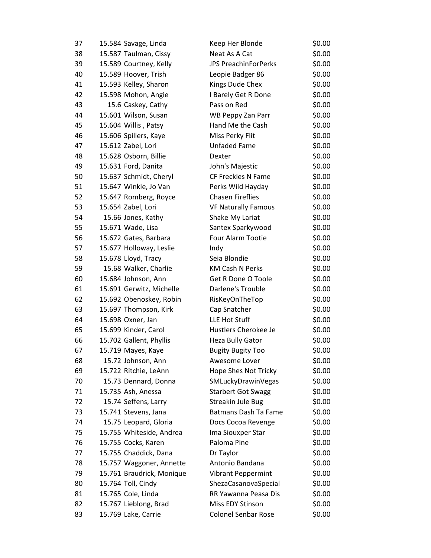| 37 | 15.584 Savage, Linda      | Keep Her Blonde             | \$0.00 |
|----|---------------------------|-----------------------------|--------|
| 38 | 15.587 Taulman, Cissy     | Neat As A Cat               | \$0.00 |
| 39 | 15.589 Courtney, Kelly    | <b>JPS PreachinForPerks</b> | \$0.00 |
| 40 | 15.589 Hoover, Trish      | Leopie Badger 86            | \$0.00 |
| 41 | 15.593 Kelley, Sharon     | Kings Dude Chex             | \$0.00 |
| 42 | 15.598 Mohon, Angie       | I Barely Get R Done         | \$0.00 |
| 43 | 15.6 Caskey, Cathy        | Pass on Red                 | \$0.00 |
| 44 | 15.601 Wilson, Susan      | WB Peppy Zan Parr           | \$0.00 |
| 45 | 15.604 Willis, Patsy      | Hand Me the Cash            | \$0.00 |
| 46 | 15.606 Spillers, Kaye     | Miss Perky Flit             | \$0.00 |
| 47 | 15.612 Zabel, Lori        | Unfaded Fame                | \$0.00 |
| 48 | 15.628 Osborn, Billie     | Dexter                      | \$0.00 |
| 49 | 15.631 Ford, Danita       | John's Majestic             | \$0.00 |
| 50 | 15.637 Schmidt, Cheryl    | CF Freckles N Fame          | \$0.00 |
| 51 | 15.647 Winkle, Jo Van     | Perks Wild Hayday           | \$0.00 |
| 52 | 15.647 Romberg, Royce     | <b>Chasen Fireflies</b>     | \$0.00 |
| 53 | 15.654 Zabel, Lori        | <b>VF Naturally Famous</b>  | \$0.00 |
| 54 | 15.66 Jones, Kathy        | Shake My Lariat             | \$0.00 |
| 55 | 15.671 Wade, Lisa         | Santex Sparkywood           | \$0.00 |
| 56 | 15.672 Gates, Barbara     | Four Alarm Tootie           | \$0.00 |
| 57 | 15.677 Holloway, Leslie   | Indy                        | \$0.00 |
| 58 | 15.678 Lloyd, Tracy       | Seia Blondie                | \$0.00 |
| 59 | 15.68 Walker, Charlie     | <b>KM Cash N Perks</b>      | \$0.00 |
| 60 | 15.684 Johnson, Ann       | Get R Done O Toole          | \$0.00 |
| 61 | 15.691 Gerwitz, Michelle  | Darlene's Trouble           | \$0.00 |
| 62 | 15.692 Obenoskey, Robin   | RisKeyOnTheTop              | \$0.00 |
| 63 | 15.697 Thompson, Kirk     | Cap Snatcher                | \$0.00 |
| 64 | 15.698 Oxner, Jan         | LLE Hot Stuff               | \$0.00 |
| 65 | 15.699 Kinder, Carol      | Hustlers Cherokee Je        | \$0.00 |
| 66 | 15.702 Gallent, Phyllis   | Heza Bully Gator            | \$0.00 |
| 67 | 15.719 Mayes, Kaye        | <b>Bugity Bugity Too</b>    | \$0.00 |
| 68 | 15.72 Johnson, Ann        | Awesome Lover               | \$0.00 |
| 69 | 15.722 Ritchie, LeAnn     | Hope Shes Not Tricky        | \$0.00 |
| 70 | 15.73 Dennard, Donna      | SMLuckyDrawinVegas          | \$0.00 |
| 71 | 15.735 Ash, Anessa        | <b>Starbert Got Swagg</b>   | \$0.00 |
| 72 | 15.74 Seffens, Larry      | Streakin Jule Bug           | \$0.00 |
| 73 | 15.741 Stevens, Jana      | <b>Batmans Dash Ta Fame</b> | \$0.00 |
| 74 | 15.75 Leopard, Gloria     | Docs Cocoa Revenge          | \$0.00 |
| 75 | 15.755 Whiteside, Andrea  | Ima Siouxper Star           | \$0.00 |
| 76 | 15.755 Cocks, Karen       | Paloma Pine                 | \$0.00 |
| 77 | 15.755 Chaddick, Dana     | Dr Taylor                   | \$0.00 |
| 78 | 15.757 Waggoner, Annette  | Antonio Bandana             | \$0.00 |
| 79 | 15.761 Braudrick, Monique | <b>Vibrant Peppermint</b>   | \$0.00 |
| 80 | 15.764 Toll, Cindy        | ShezaCasanovaSpecial        | \$0.00 |
| 81 | 15.765 Cole, Linda        | RR Yawanna Peasa Dis        | \$0.00 |
| 82 | 15.767 Lieblong, Brad     | Miss EDY Stinson            | \$0.00 |
| 83 | 15.769 Lake, Carrie       | <b>Colonel Senbar Rose</b>  | \$0.00 |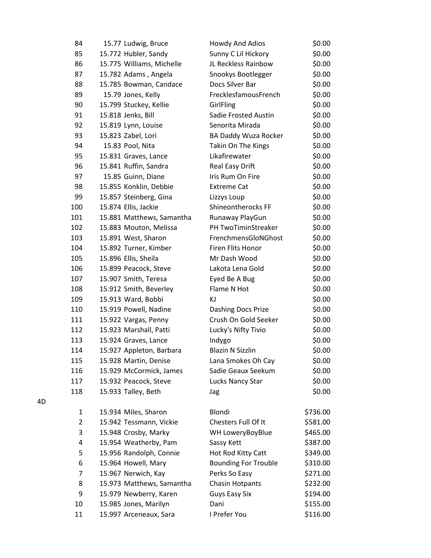| 84             | 15.77 Ludwig, Bruce       | Howdy And Adios             | \$0.00   |
|----------------|---------------------------|-----------------------------|----------|
| 85             | 15.772 Hubler, Sandy      | Sunny C Lil Hickory         | \$0.00   |
| 86             | 15.775 Williams, Michelle | JL Reckless Rainbow         | \$0.00   |
| 87             | 15.782 Adams, Angela      | Snookys Bootlegger          | \$0.00   |
| 88             | 15.785 Bowman, Candace    | Docs Silver Bar             | \$0.00   |
| 89             | 15.79 Jones, Kelly        | FrecklesfamousFrench        | \$0.00   |
| 90             | 15.799 Stuckey, Kellie    | GirlFling                   | \$0.00   |
| 91             | 15.818 Jenks, Bill        | <b>Sadie Frosted Austin</b> | \$0.00   |
| 92             | 15.819 Lynn, Louise       | Senorita Mirada             | \$0.00   |
| 93             | 15.823 Zabel, Lori        | BA Daddy Wuza Rocker        | \$0.00   |
| 94             | 15.83 Pool, Nita          | Takin On The Kings          | \$0.00   |
| 95             | 15.831 Graves, Lance      | Likafirewater               | \$0.00   |
| 96             | 15.841 Ruffin, Sandra     | Real Easy Drift             | \$0.00   |
| 97             | 15.85 Guinn, Diane        | Iris Rum On Fire            | \$0.00   |
| 98             | 15.855 Konklin, Debbie    | <b>Extreme Cat</b>          | \$0.00   |
| 99             | 15.857 Steinberg, Gina    | Lizzys Loup                 | \$0.00   |
| 100            | 15.874 Ellis, Jackie      | Shineontherocks FF          | \$0.00   |
| 101            | 15.881 Matthews, Samantha | Runaway PlayGun             | \$0.00   |
| 102            | 15.883 Mouton, Melissa    | PH TwoTiminStreaker         | \$0.00   |
| 103            | 15.891 West, Sharon       | FrenchmensGloNGhost         | \$0.00   |
| 104            | 15.892 Turner, Kimber     | Firen Flits Honor           | \$0.00   |
| 105            | 15.896 Ellis, Sheila      | Mr Dash Wood                | \$0.00   |
| 106            | 15.899 Peacock, Steve     | Lakota Lena Gold            | \$0.00   |
| 107            | 15.907 Smith, Teresa      | Eyed Be A Bug               | \$0.00   |
| 108            | 15.912 Smith, Beverley    | Flame N Hot                 | \$0.00   |
| 109            | 15.913 Ward, Bobbi        | ΚJ                          | \$0.00   |
| 110            | 15.919 Powell, Nadine     | Dashing Docs Prize          | \$0.00   |
| 111            | 15.922 Vargas, Penny      | Crush On Gold Seeker        | \$0.00   |
| 112            | 15.923 Marshall, Patti    | Lucky's Nifty Tivio         | \$0.00   |
| 113            | 15.924 Graves, Lance      | Indygo                      | \$0.00   |
| 114            | 15.927 Appleton, Barbara  | <b>Blazin N Sizzlin</b>     | \$0.00   |
| 115            | 15.928 Martin, Denise     | Lana Smokes Oh Cay          | \$0.00   |
| 116            | 15.929 McCormick, James   | Sadie Geaux Seekum          | \$0.00   |
| 117            | 15.932 Peacock, Steve     | Lucks Nancy Star            | \$0.00   |
| 118            | 15.933 Talley, Beth       | Jag                         | \$0.00   |
| $\mathbf{1}$   | 15.934 Miles, Sharon      | Blondi                      | \$736.00 |
| $\overline{2}$ | 15.942 Tessmann, Vickie   | Chesters Full Of It         | \$581.00 |
| 3              | 15.948 Crosby, Marky      | WH LoweryBoyBlue            | \$465.00 |
| 4              | 15.954 Weatherby, Pam     | Sassy Kett                  | \$387.00 |
| 5              | 15.956 Randolph, Connie   | Hot Rod Kitty Catt          | \$349.00 |
| 6              | 15.964 Howell, Mary       | <b>Bounding For Trouble</b> | \$310.00 |
| 7              | 15.967 Nerwich, Kay       | Perks So Easy               | \$271.00 |
| 8              | 15.973 Matthews, Samantha | <b>Chasin Hotpants</b>      | \$232.00 |
| 9              | 15.979 Newberry, Karen    | <b>Guys Easy Six</b>        | \$194.00 |
| 10             | 15.985 Jones, Marilyn     | Dani                        | \$155.00 |
| 11             | 15.997 Arceneaux, Sara    | I Prefer You                | \$116.00 |

4D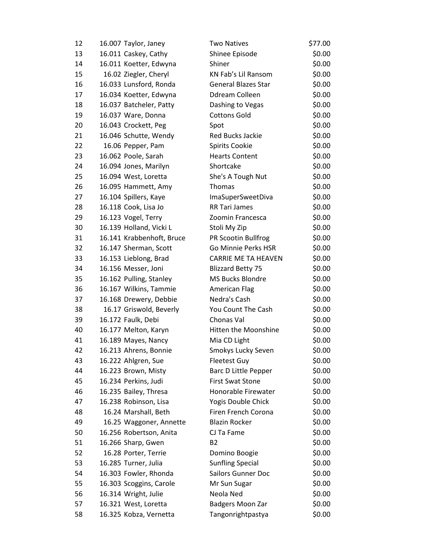| 12 | 16.007 Taylor, Janey      | <b>Two Natives</b>          | \$77.00 |
|----|---------------------------|-----------------------------|---------|
| 13 | 16.011 Caskey, Cathy      | Shinee Episode              | \$0.00  |
| 14 | 16.011 Koetter, Edwyna    | Shiner                      | \$0.00  |
| 15 | 16.02 Ziegler, Cheryl     | KN Fab's Lil Ransom         | \$0.00  |
| 16 | 16.033 Lunsford, Ronda    | <b>General Blazes Star</b>  | \$0.00  |
| 17 | 16.034 Koetter, Edwyna    | Ddream Colleen              | \$0.00  |
| 18 | 16.037 Batcheler, Patty   | Dashing to Vegas            | \$0.00  |
| 19 | 16.037 Ware, Donna        | <b>Cottons Gold</b>         | \$0.00  |
| 20 | 16.043 Crockett, Peg      | Spot                        | \$0.00  |
| 21 | 16.046 Schutte, Wendy     | Red Bucks Jackie            | \$0.00  |
| 22 | 16.06 Pepper, Pam         | Spirits Cookie              | \$0.00  |
| 23 | 16.062 Poole, Sarah       | <b>Hearts Content</b>       | \$0.00  |
| 24 | 16.094 Jones, Marilyn     | Shortcake                   | \$0.00  |
| 25 | 16.094 West, Loretta      | She's A Tough Nut           | \$0.00  |
| 26 | 16.095 Hammett, Amy       | Thomas                      | \$0.00  |
| 27 | 16.104 Spillers, Kaye     | ImaSuperSweetDiva           | \$0.00  |
| 28 | 16.118 Cook, Lisa Jo      | RR Tari James               | \$0.00  |
| 29 | 16.123 Vogel, Terry       | Zoomin Francesca            | \$0.00  |
| 30 | 16.139 Holland, Vicki L   | Stoli My Zip                | \$0.00  |
| 31 | 16.141 Krabbenhoft, Bruce | PR Scootin Bullfrog         | \$0.00  |
| 32 | 16.147 Sherman, Scott     | Go Minnie Perks HSR         | \$0.00  |
| 33 | 16.153 Lieblong, Brad     | <b>CARRIE ME TA HEAVEN</b>  | \$0.00  |
| 34 | 16.156 Messer, Joni       | <b>Blizzard Betty 75</b>    | \$0.00  |
| 35 | 16.162 Pulling, Stanley   | MS Bucks Blondre            | \$0.00  |
| 36 | 16.167 Wilkins, Tammie    | American Flag               | \$0.00  |
| 37 | 16.168 Drewery, Debbie    | Nedra's Cash                | \$0.00  |
| 38 | 16.17 Griswold, Beverly   | You Count The Cash          | \$0.00  |
| 39 | 16.172 Faulk, Debi        | Chonas Val                  | \$0.00  |
| 40 | 16.177 Melton, Karyn      | Hitten the Moonshine        | \$0.00  |
| 41 | 16.189 Mayes, Nancy       | Mia CD Light                | \$0.00  |
| 42 | 16.213 Ahrens, Bonnie     | Smokys Lucky Seven          | \$0.00  |
| 43 | 16.222 Ahlgren, Sue       | <b>Fleetest Guy</b>         | \$0.00  |
| 44 | 16.223 Brown, Misty       | <b>Barc D Little Pepper</b> | \$0.00  |
| 45 | 16.234 Perkins, Judi      | <b>First Swat Stone</b>     | \$0.00  |
| 46 | 16.235 Bailey, Thresa     | Honorable Firewater         | \$0.00  |
| 47 | 16.238 Robinson, Lisa     | Yogis Double Chick          | \$0.00  |
| 48 | 16.24 Marshall, Beth      | Firen French Corona         | \$0.00  |
| 49 | 16.25 Waggoner, Annette   | <b>Blazin Rocker</b>        | \$0.00  |
| 50 | 16.256 Robertson, Anita   | CJ Ta Fame                  | \$0.00  |
| 51 | 16.266 Sharp, Gwen        | B <sub>2</sub>              | \$0.00  |
| 52 | 16.28 Porter, Terrie      | Domino Boogie               | \$0.00  |
| 53 | 16.285 Turner, Julia      | <b>Sunfling Special</b>     | \$0.00  |
| 54 | 16.303 Fowler, Rhonda     | <b>Sailors Gunner Doc</b>   | \$0.00  |
| 55 | 16.303 Scoggins, Carole   | Mr Sun Sugar                | \$0.00  |
| 56 | 16.314 Wright, Julie      | Neola Ned                   | \$0.00  |
| 57 | 16.321 West, Loretta      | Badgers Moon Zar            | \$0.00  |
| 58 | 16.325 Kobza, Vernetta    | Tangonrightpastya           | \$0.00  |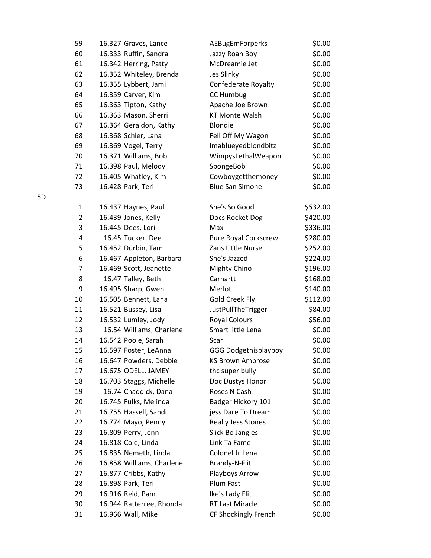| 59             | 16.327 Graves, Lance      | AEBugEmForperks             | \$0.00   |
|----------------|---------------------------|-----------------------------|----------|
| 60             | 16.333 Ruffin, Sandra     | Jazzy Roan Boy              | \$0.00   |
| 61             | 16.342 Herring, Patty     | McDreamie Jet               | \$0.00   |
| 62             | 16.352 Whiteley, Brenda   | Jes Slinky                  | \$0.00   |
| 63             | 16.355 Lybbert, Jami      | Confederate Royalty         | \$0.00   |
| 64             | 16.359 Carver, Kim        | <b>CC Humbug</b>            | \$0.00   |
| 65             | 16.363 Tipton, Kathy      | Apache Joe Brown            | \$0.00   |
| 66             | 16.363 Mason, Sherri      | <b>KT Monte Walsh</b>       | \$0.00   |
| 67             | 16.364 Geraldon, Kathy    | <b>Blondie</b>              | \$0.00   |
| 68             | 16.368 Schler, Lana       | Fell Off My Wagon           | \$0.00   |
| 69             | 16.369 Vogel, Terry       | Imablueyedblondbitz         | \$0.00   |
| 70             | 16.371 Williams, Bob      | WimpysLethalWeapon          | \$0.00   |
| 71             | 16.398 Paul, Melody       | SpongeBob                   | \$0.00   |
| 72             | 16.405 Whatley, Kim       | Cowboygetthemoney           | \$0.00   |
| 73             | 16.428 Park, Teri         | <b>Blue San Simone</b>      | \$0.00   |
| 1              | 16.437 Haynes, Paul       | She's So Good               | \$532.00 |
| $\overline{2}$ | 16.439 Jones, Kelly       | Docs Rocket Dog             | \$420.00 |
| 3              | 16.445 Dees, Lori         | Max                         | \$336.00 |
| 4              | 16.45 Tucker, Dee         | Pure Royal Corkscrew        | \$280.00 |
| 5              | 16.452 Durbin, Tam        | Zans Little Nurse           | \$252.00 |
| 6              | 16.467 Appleton, Barbara  | She's Jazzed                | \$224.00 |
| 7              | 16.469 Scott, Jeanette    | Mighty Chino                | \$196.00 |
| 8              | 16.47 Talley, Beth        | Carhartt                    | \$168.00 |
| 9              | 16.495 Sharp, Gwen        | Merlot                      | \$140.00 |
| 10             | 16.505 Bennett, Lana      | <b>Gold Creek Fly</b>       | \$112.00 |
| 11             | 16.521 Bussey, Lisa       | JustPullTheTrigger          | \$84.00  |
| 12             | 16.532 Lumley, Jody       | <b>Royal Colours</b>        | \$56.00  |
| 13             | 16.54 Williams, Charlene  | Smart little Lena           | \$0.00   |
| 14             | 16.542 Poole, Sarah       | Scar                        | \$0.00   |
| 15             | 16.597 Foster, LeAnna     | <b>GGG Dodgethisplayboy</b> | \$0.00   |
| 16             | 16.647 Powders, Debbie    | <b>KS Brown Ambrose</b>     | \$0.00   |
| 17             | 16.675 ODELL, JAMEY       | thc super bully             | \$0.00   |
| 18             | 16.703 Staggs, Michelle   | Doc Dustys Honor            | \$0.00   |
| 19             | 16.74 Chaddick, Dana      | Roses N Cash                | \$0.00   |
| 20             | 16.745 Fulks, Melinda     | Badger Hickory 101          | \$0.00   |
| 21             | 16.755 Hassell, Sandi     | jess Dare To Dream          | \$0.00   |
| 22             | 16.774 Mayo, Penny        | Really Jess Stones          | \$0.00   |
| 23             | 16.809 Perry, Jenn        | Slick Bo Jangles            | \$0.00   |
| 24             | 16.818 Cole, Linda        | Link Ta Fame                | \$0.00   |
| 25             | 16.835 Nemeth, Linda      | Colonel Jr Lena             | \$0.00   |
| 26             | 16.858 Williams, Charlene | Brandy-N-Flit               | \$0.00   |
| 27             | 16.877 Cribbs, Kathy      | Playboys Arrow              | \$0.00   |
| 28             | 16.898 Park, Teri         | Plum Fast                   | \$0.00   |
| 29             | 16.916 Reid, Pam          | Ike's Lady Flit             | \$0.00   |
| 30             | 16.944 Ratterree, Rhonda  | RT Last Miracle             | \$0.00   |
| 31             | 16.966 Wall, Mike         | CF Shockingly French        | \$0.00   |

5D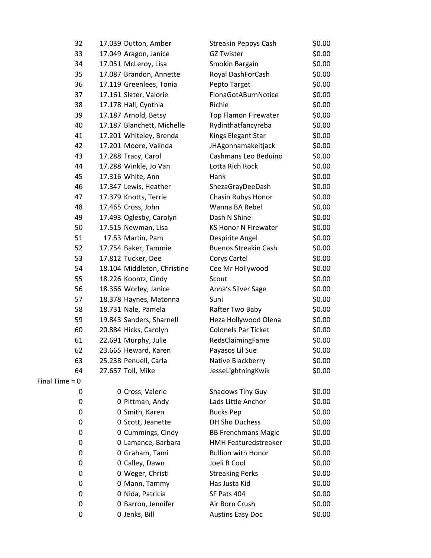| 32               | 17.039 Dutton, Amber        | Streakin Peppys Cash        | \$0.00 |
|------------------|-----------------------------|-----------------------------|--------|
| 33               | 17.049 Aragon, Janice       | <b>GZ Twister</b>           | \$0.00 |
| 34               | 17.051 McLeroy, Lisa        | Smokin Bargain              | \$0.00 |
| 35               | 17.087 Brandon, Annette     | Royal DashForCash           | \$0.00 |
| 36               | 17.119 Greenlees, Tonia     | Pepto Target                | \$0.00 |
| 37               | 17.161 Slater, Valorie      | FionaGotABurnNotice         | \$0.00 |
| 38               | 17.178 Hall, Cynthia        | Richie                      | \$0.00 |
| 39               | 17.187 Arnold, Betsy        | <b>Top Flamon Firewater</b> | \$0.00 |
| 40               | 17.187 Blanchett, Michelle  | Rydinthatfancyreba          | \$0.00 |
| 41               | 17.201 Whiteley, Brenda     | Kings Elegant Star          | \$0.00 |
| 42               | 17.201 Moore, Valinda       | JHAgonnamakeitjack          | \$0.00 |
| 43               | 17.288 Tracy, Carol         | Cashmans Leo Beduino        | \$0.00 |
| 44               | 17.288 Winkle, Jo Van       | Lotta Rich Rock             | \$0.00 |
| 45               | 17.316 White, Ann           | Hank                        | \$0.00 |
| 46               | 17.347 Lewis, Heather       | ShezaGrayDeeDash            | \$0.00 |
| 47               | 17.379 Knotts, Terrie       | Chasin Rubys Honor          | \$0.00 |
| 48               | 17.465 Cross, John          | Wanna BA Rebel              | \$0.00 |
| 49               | 17.493 Oglesby, Carolyn     | Dash N Shine                | \$0.00 |
| 50               | 17.515 Newman, Lisa         | <b>KS Honor N Firewater</b> | \$0.00 |
| 51               | 17.53 Martin, Pam           | Despirite Angel             | \$0.00 |
| 52               | 17.754 Baker, Tammie        | <b>Buenos Streakin Cash</b> | \$0.00 |
| 53               | 17.812 Tucker, Dee          | Corys Cartel                | \$0.00 |
| 54               | 18.104 Middleton, Christine | Cee Mr Hollywood            | \$0.00 |
| 55               | 18.226 Koontz, Cindy        | Scout                       | \$0.00 |
| 56               | 18.366 Worley, Janice       | Anna's Silver Sage          | \$0.00 |
| 57               | 18.378 Haynes, Matonna      | Suni                        | \$0.00 |
| 58               | 18.731 Nale, Pamela         | Rafter Two Baby             | \$0.00 |
| 59               | 19.843 Sanders, Sharnell    | Heza Hollywood Olena        | \$0.00 |
| 60               | 20.884 Hicks, Carolyn       | <b>Colonels Par Ticket</b>  | \$0.00 |
| 61               | 22.691 Murphy, Julie        | RedsClaimingFame            | \$0.00 |
| 62               | 23.665 Heward, Karen        | Payasos Lil Sue             | \$0.00 |
| 63               | 25.238 Penuell, Carla       | Native Blackberry           | \$0.00 |
| 64               | 27.657 Toll, Mike           | JesseLightningKwik          | \$0.00 |
| Final Time $= 0$ |                             |                             |        |
| 0                | 0 Cross, Valerie            | <b>Shadows Tiny Guy</b>     | \$0.00 |
| 0                | 0 Pittman, Andy             | Lads Little Anchor          | \$0.00 |
| 0                | 0 Smith, Karen              | <b>Bucks Pep</b>            | \$0.00 |
| 0                | 0 Scott, Jeanette           | DH Sho Duchess              | \$0.00 |
| 0                | 0 Cummings, Cindy           | <b>BB Frenchmans Magic</b>  | \$0.00 |
| 0                | 0 Lamance, Barbara          | <b>HMH Featuredstreaker</b> | \$0.00 |
| 0                | 0 Graham, Tami              | <b>Bullion with Honor</b>   | \$0.00 |
| 0                | 0 Calley, Dawn              | Joeli B Cool                | \$0.00 |
| 0                | 0 Weger, Christi            | <b>Streaking Perks</b>      | \$0.00 |
| 0                | 0 Mann, Tammy               | Has Justa Kid               | \$0.00 |
| 0                | 0 Nida, Patricia            | SF Pats 404                 | \$0.00 |
| 0                | 0 Barron, Jennifer          | Air Born Crush              | \$0.00 |
| 0                | 0 Jenks, Bill               | <b>Austins Easy Doc</b>     | \$0.00 |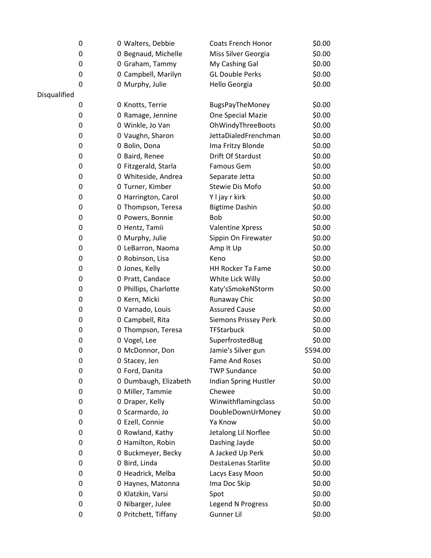|              | 0 | 0 Walters, Debbie     | <b>Coats French Honor</b>   | \$0.00   |
|--------------|---|-----------------------|-----------------------------|----------|
|              | 0 | 0 Begnaud, Michelle   | Miss Silver Georgia         | \$0.00   |
|              | 0 | 0 Graham, Tammy       | My Cashing Gal              | \$0.00   |
|              | 0 | 0 Campbell, Marilyn   | <b>GL Double Perks</b>      | \$0.00   |
|              | 0 | 0 Murphy, Julie       | Hello Georgia               | \$0.00   |
| Disqualified |   |                       |                             |          |
|              | 0 | 0 Knotts, Terrie      | <b>BugsPayTheMoney</b>      | \$0.00   |
|              | 0 | 0 Ramage, Jennine     | One Special Mazie           | \$0.00   |
|              | 0 | 0 Winkle, Jo Van      | OhWindyThreeBoots           | \$0.00   |
|              | 0 | 0 Vaughn, Sharon      | JettaDialedFrenchman        | \$0.00   |
|              | 0 | 0 Bolin, Dona         | Ima Fritzy Blonde           | \$0.00   |
|              | 0 | 0 Baird, Renee        | Drift Of Stardust           | \$0.00   |
|              | 0 | 0 Fitzgerald, Starla  | Famous Gem                  | \$0.00   |
|              | 0 | 0 Whiteside, Andrea   | Separate Jetta              | \$0.00   |
|              | 0 | 0 Turner, Kimber      | <b>Stewie Dis Mofo</b>      | \$0.00   |
|              | 0 | 0 Harrington, Carol   | Y I jay r kirk              | \$0.00   |
|              | 0 | 0 Thompson, Teresa    | <b>Bigtime Dashin</b>       | \$0.00   |
|              | 0 | 0 Powers, Bonnie      | Bob                         | \$0.00   |
|              | 0 | 0 Hentz, Tamii        | Valentine Xpress            | \$0.00   |
|              | 0 | 0 Murphy, Julie       | Sippin On Firewater         | \$0.00   |
|              | 0 | 0 LeBarron, Naoma     | Amp It Up                   | \$0.00   |
|              | 0 | 0 Robinson, Lisa      | Keno                        | \$0.00   |
|              | 0 | 0 Jones, Kelly        | <b>HH Rocker Ta Fame</b>    | \$0.00   |
|              | 0 | 0 Pratt, Candace      | White Lick Willy            | \$0.00   |
|              | 0 | 0 Phillips, Charlotte | Katy'sSmokeNStorm           | \$0.00   |
|              | 0 | 0 Kern, Micki         | Runaway Chic                | \$0.00   |
|              | 0 | 0 Varnado, Louis      | <b>Assured Cause</b>        | \$0.00   |
|              | 0 | 0 Campbell, Rita      | <b>Siemons Prissey Perk</b> | \$0.00   |
|              | 0 | 0 Thompson, Teresa    | <b>TFStarbuck</b>           | \$0.00   |
|              | 0 | 0 Vogel, Lee          | SuperfrostedBug             | \$0.00   |
|              | 0 | 0 McDonnor, Don       | Jamie's Silver gun          | \$594.00 |
|              | 0 | 0 Stacey, Jen         | <b>Fame And Roses</b>       | \$0.00   |
|              | 0 | 0 Ford, Danita        | <b>TWP Sundance</b>         | \$0.00   |
|              | 0 | 0 Dumbaugh, Elizabeth | Indian Spring Hustler       | \$0.00   |
|              | 0 | 0 Miller, Tammie      | Chewee                      | \$0.00   |
|              | 0 | 0 Draper, Kelly       | Winwithflamingclass         | \$0.00   |
|              | 0 | 0 Scarmardo, Jo       | DoubleDownUrMoney           | \$0.00   |
|              | 0 | 0 Ezell, Connie       | Ya Know                     | \$0.00   |
|              | 0 | 0 Rowland, Kathy      | Jetalong Lil Norflee        | \$0.00   |
|              | 0 | 0 Hamilton, Robin     | Dashing Jayde               | \$0.00   |
|              | 0 | 0 Buckmeyer, Becky    | A Jacked Up Perk            | \$0.00   |
|              | 0 | 0 Bird, Linda         | DestaLenas Starlite         | \$0.00   |
|              | 0 | 0 Headrick, Melba     | Lacys Easy Moon             | \$0.00   |
|              | 0 | 0 Haynes, Matonna     | Ima Doc Skip                | \$0.00   |
|              | 0 | 0 Klatzkin, Varsi     | Spot                        | \$0.00   |
|              | 0 | 0 Nibarger, Julee     | Legend N Progress           | \$0.00   |
|              | 0 | 0 Pritchett, Tiffany  | Gunner Lil                  | \$0.00   |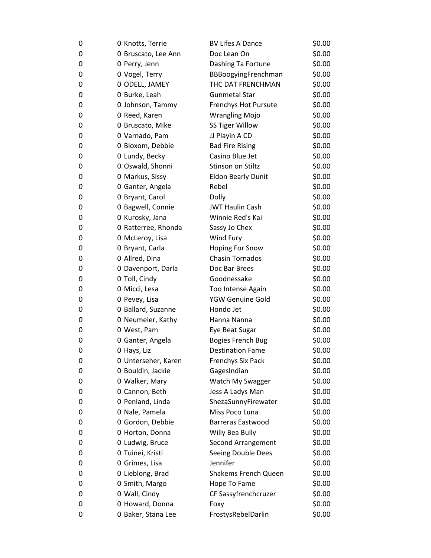| 0 | 0 Knotts, Terrie    | <b>BV Lifes A Dance</b>     | \$0.00 |
|---|---------------------|-----------------------------|--------|
| 0 | 0 Bruscato, Lee Ann | Doc Lean On                 | \$0.00 |
| 0 | 0 Perry, Jenn       | Dashing Ta Fortune          | \$0.00 |
| 0 | 0 Vogel, Terry      | BBBoogyingFrenchman         | \$0.00 |
| 0 | 0 ODELL, JAMEY      | THC DAT FRENCHMAN           | \$0.00 |
| 0 | 0 Burke, Leah       | <b>Gunmetal Star</b>        | \$0.00 |
| 0 | 0 Johnson, Tammy    | Frenchys Hot Pursute        | \$0.00 |
| 0 | 0 Reed, Karen       | <b>Wrangling Mojo</b>       | \$0.00 |
| 0 | 0 Bruscato, Mike    | SS Tiger Willow             | \$0.00 |
| 0 | 0 Varnado, Pam      | JJ Playin A CD              | \$0.00 |
| 0 | 0 Bloxom, Debbie    | <b>Bad Fire Rising</b>      | \$0.00 |
| 0 | 0 Lundy, Becky      | Casino Blue Jet             | \$0.00 |
| 0 | 0 Oswald, Shonni    | Stinson on Stiltz           | \$0.00 |
| 0 | 0 Markus, Sissy     | <b>Eldon Bearly Dunit</b>   | \$0.00 |
| 0 | 0 Ganter, Angela    | Rebel                       | \$0.00 |
| 0 | 0 Bryant, Carol     | Dolly                       | \$0.00 |
| 0 | 0 Bagwell, Connie   | <b>JWT Haulin Cash</b>      | \$0.00 |
| 0 | 0 Kurosky, Jana     | Winnie Red's Kai            | \$0.00 |
| 0 | 0 Ratterree, Rhonda | Sassy Jo Chex               | \$0.00 |
| 0 | 0 McLeroy, Lisa     | Wind Fury                   | \$0.00 |
| 0 | 0 Bryant, Carla     | <b>Hoping For Snow</b>      | \$0.00 |
| 0 | 0 Allred, Dina      | <b>Chasin Tornados</b>      | \$0.00 |
| 0 | 0 Davenport, Darla  | Doc Bar Brees               | \$0.00 |
| 0 | 0 Toll, Cindy       | Goodnessake                 | \$0.00 |
| 0 | 0 Micci, Lesa       | Too Intense Again           | \$0.00 |
| 0 | 0 Pevey, Lisa       | YGW Genuine Gold            | \$0.00 |
| 0 | 0 Ballard, Suzanne  | Hondo Jet                   | \$0.00 |
| 0 | 0 Neumeier, Kathy   | Hanna Nanna                 | \$0.00 |
| 0 | 0 West, Pam         | Eye Beat Sugar              | \$0.00 |
| 0 | 0 Ganter, Angela    | <b>Bogies French Bug</b>    | \$0.00 |
| 0 | 0 Hays, Liz         | <b>Destination Fame</b>     | \$0.00 |
| 0 | 0 Unterseher, Karen | <b>Frenchys Six Pack</b>    | \$0.00 |
| 0 | 0 Bouldin, Jackie   | GagesIndian                 | \$0.00 |
| 0 | 0 Walker, Mary      | Watch My Swagger            | \$0.00 |
| 0 | 0 Cannon, Beth      | Jess A Ladys Man            | \$0.00 |
| 0 | 0 Penland, Linda    | ShezaSunnyFirewater         | \$0.00 |
| 0 | 0 Nale, Pamela      | Miss Poco Luna              | \$0.00 |
| 0 | 0 Gordon, Debbie    | <b>Barreras Eastwood</b>    | \$0.00 |
| 0 | 0 Horton, Donna     | Willy Bea Bully             | \$0.00 |
| 0 | 0 Ludwig, Bruce     | Second Arrangement          | \$0.00 |
| 0 | 0 Tuinei, Kristi    | Seeing Double Dees          | \$0.00 |
| 0 | 0 Grimes, Lisa      | Jennifer                    | \$0.00 |
| 0 | 0 Lieblong, Brad    | <b>Shakems French Queen</b> | \$0.00 |
| 0 | 0 Smith, Margo      | Hope To Fame                | \$0.00 |
| 0 | 0 Wall, Cindy       | CF Sassyfrenchcruzer        | \$0.00 |
| 0 | 0 Howard, Donna     | Foxy                        | \$0.00 |
| 0 | 0 Baker, Stana Lee  | FrostysRebelDarlin          | \$0.00 |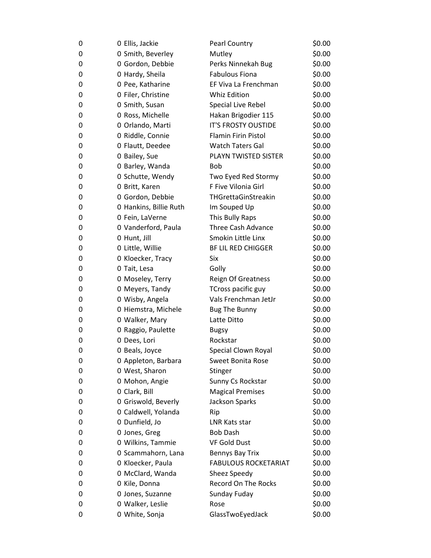| 0 | 0 Ellis, Jackie        | <b>Pearl Country</b>        | \$0.00 |
|---|------------------------|-----------------------------|--------|
| 0 | 0 Smith, Beverley      | Mutley                      | \$0.00 |
| 0 | 0 Gordon, Debbie       | Perks Ninnekah Bug          | \$0.00 |
| 0 | 0 Hardy, Sheila        | <b>Fabulous Fiona</b>       | \$0.00 |
| 0 | 0 Pee, Katharine       | EF Viva La Frenchman        | \$0.00 |
| 0 | 0 Filer, Christine     | <b>Whiz Edition</b>         | \$0.00 |
| 0 | 0 Smith, Susan         | Special Live Rebel          | \$0.00 |
| 0 | 0 Ross, Michelle       | Hakan Brigodier 115         | \$0.00 |
| 0 | 0 Orlando, Marti       | IT'S FROSTY OUSTIDE         | \$0.00 |
| 0 | 0 Riddle, Connie       | <b>Flamin Firin Pistol</b>  | \$0.00 |
| 0 | 0 Flautt, Deedee       | <b>Watch Taters Gal</b>     | \$0.00 |
| 0 | 0 Bailey, Sue          | PLAYN TWISTED SISTER        | \$0.00 |
| 0 | 0 Barley, Wanda        | <b>Bob</b>                  | \$0.00 |
| 0 | 0 Schutte, Wendy       | Two Eyed Red Stormy         | \$0.00 |
| 0 | 0 Britt, Karen         | F Five Vilonia Girl         | \$0.00 |
| 0 | 0 Gordon, Debbie       | THGrettaGinStreakin         | \$0.00 |
| 0 | 0 Hankins, Billie Ruth | Im Souped Up                | \$0.00 |
| 0 | 0 Fein, LaVerne        | This Bully Raps             | \$0.00 |
| 0 | 0 Vanderford, Paula    | <b>Three Cash Advance</b>   | \$0.00 |
| 0 | 0 Hunt, Jill           | Smokin Little Linx          | \$0.00 |
| 0 | 0 Little, Willie       | <b>BF LIL RED CHIGGER</b>   | \$0.00 |
| 0 | 0 Kloecker, Tracy      | Six                         | \$0.00 |
| 0 | 0 Tait, Lesa           | Golly                       | \$0.00 |
| 0 | 0 Moseley, Terry       | <b>Reign Of Greatness</b>   | \$0.00 |
| 0 | 0 Meyers, Tandy        | TCross pacific guy          | \$0.00 |
| 0 | 0 Wisby, Angela        | Vals Frenchman JetJr        | \$0.00 |
| 0 | 0 Hiemstra, Michele    | <b>Bug The Bunny</b>        | \$0.00 |
| 0 | 0 Walker, Mary         | Latte Ditto                 | \$0.00 |
| 0 | 0 Raggio, Paulette     | <b>Bugsy</b>                | \$0.00 |
| 0 | 0 Dees, Lori           | Rockstar                    | \$0.00 |
| 0 | 0 Beals, Joyce         | Special Clown Royal         | \$0.00 |
| 0 | 0 Appleton, Barbara    | <b>Sweet Bonita Rose</b>    | \$0.00 |
| 0 | 0 West, Sharon         | Stinger                     | \$0.00 |
| 0 | 0 Mohon, Angie         | Sunny Cs Rockstar           | \$0.00 |
| 0 | 0 Clark, Bill          | <b>Magical Premises</b>     | \$0.00 |
| 0 | 0 Griswold, Beverly    | Jackson Sparks              | \$0.00 |
| 0 | 0 Caldwell, Yolanda    | Rip                         | \$0.00 |
| 0 | 0 Dunfield, Jo         | LNR Kats star               | \$0.00 |
| 0 | 0 Jones, Greg          | <b>Bob Dash</b>             | \$0.00 |
| 0 | 0 Wilkins, Tammie      | <b>VF Gold Dust</b>         | \$0.00 |
| 0 | 0 Scammahorn, Lana     | Bennys Bay Trix             | \$0.00 |
| 0 | 0 Kloecker, Paula      | <b>FABULOUS ROCKETARIAT</b> | \$0.00 |
| 0 | 0 McClard, Wanda       | Sheez Speedy                | \$0.00 |
| 0 | 0 Kile, Donna          | <b>Record On The Rocks</b>  | \$0.00 |
| 0 | 0 Jones, Suzanne       | Sunday Fuday                | \$0.00 |
| 0 | 0 Walker, Leslie       | Rose                        | \$0.00 |
| 0 | 0 White, Sonja         | GlassTwoEyedJack            | \$0.00 |